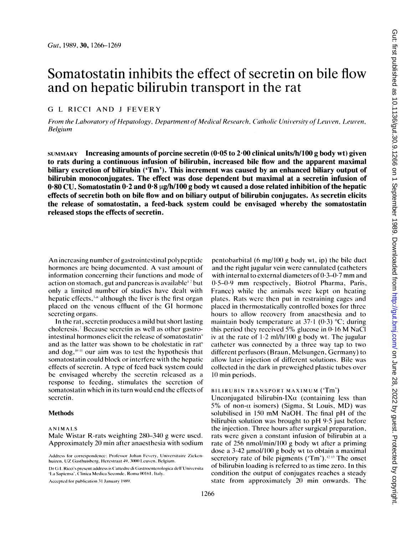# Somatostatin inhibits the effect of secretin on bile flow and on hepatic bilirubin transport in the rat

# G <sup>L</sup> RICCI AND <sup>J</sup> FEVERY

From the Laboratory of Hepatology, Department of Medical Research, Catholic University of Leuven, Leuven, Belgium

SUMMARY Increasing amounts of porcine secretin  $(0.05$  to 2.00 clinical units/h/100 g body wt) given to rats during a continuous infusion of bilirubin, increased bile flow and the apparent maximal biliary excretion of bilirubin ('Tm'). This increment was caused by an enhanced biliary output of bilirubin monoconjugates. The effect was dose dependent but maximal at a secretin infusion of 0.80 CU. Somatostatin  $0.2$  and  $0.8 \mu g/h/100 g$  body wt caused a dose related inhibition of the hepatic effects of secretin both on bile flow and on biliary output of bilirubin conjugates. As secretin elicits the release of somatostatin, a feed-back system could be envisaged whereby the somatostatin released stops the effects of secretin.

An increasing number of gastrointestinal polypeptide hormones are being documented. A vast amount of information concerning their functions and mode of action on stomach, gut and pancreas is available<sup> $\pm$ </sup> but only a limited number of studies have dealt with hepatic effects, $\cdot$ <sup>1</sup> although the liver is the first organ placed on the venous effluent of the GI hormone secreting organs.

In the rat, secretin produces a mild but short lasting choleresis.<sup>7</sup> Because secretin as well as other gastrointestinal hormones elicit the release of somatostatin' and as the latter was shown to be cholestatic in rat<sup>h</sup> and dog,"'" our aim was to test the hypothesis that somatostatin could block or interfere with the hepatic effects of secretin. A type of feed back system could be envisaged whereby the secretin released as a response to feeding, stimulates the secretion of somatostatin which in its turn would end the effects of secretin.

# **Methods**

#### ANIMALS

Accepted for publication 31 January 1989.

pentobarbital (6 mg/100 g body wt, ip) the bile duct and the right jugular vein were cannulated (catheters with internal to external diameters of  $0.3-0.7$  mm and 0.5-0.9 mm respectively, Biotrol Pharma, Paris, France) while the animals were kept on heating plates. Rats were then put in restraining cages and placed in thermostatically controlled boxes for three hours to allow recovery from anaesthesia and to maintain body temperature at  $37·1$  (0.3) °C; during this period they received 5% glucose in  $0.16$  M NaCI iv at the rate of  $1.2$  ml/h/100 g body wt. The jugular catheter was connected by a three way tap to two different perfusors (Braun, Melsungen, Germany) to allow later injection of different solutions. Bile was collected in the dark in preweighed plastic tubes over 10 min periods.

### BI LIRUBIN IRANSPORT MAXIMUM ('Tm')

Unconjugated bilirubin-IX $\alpha$  (containing less than 5% of non- $\alpha$  isomers) (Sigma, St Louis, MD) was solubilised in <sup>150</sup> mM NaOH. The final pH of the bilirubin solution was brought to  $pH$  9.5 just before the injection. Three hours after surgical preparation, rats were given a constant infusion of bilirubin at a rate of 256 nmol/min/100 g body wt after a priming dose a  $3.42 \mu$  mol/100 g body wt to obtain a maximal secretory rate of bile pigments (' $Tm$ ').<sup>12</sup><sup>13</sup> The onset of bilirubin loading is referred to as time zero. In this condition the output of conjugates reaches a steady state from approximately  $20$  min onwards. The

Male Wistar R-rats weighting 280-340 g were used. Approximately 20 min after anaesthesia with sodium

Address for correspondence: Professor Johan Fevery, Universitaire Ziekenhuizen, UZ Gasthuisberg, Herestraat 49, 3000 Leuven, Belgium.

Dr G L Ricci's present address is Cattedre di Gastroenterologica dell'Universita 'La Sapiensa', Clinica Medica Seconde, Roma 00161, Italy.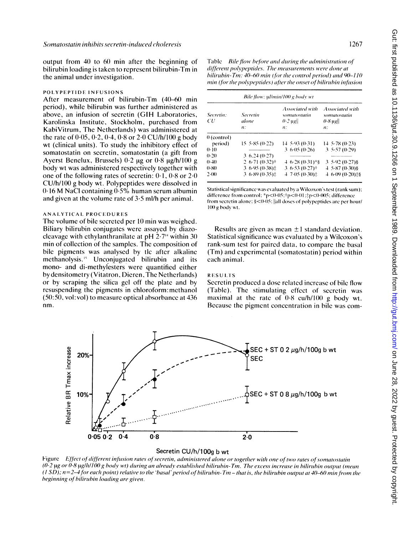output from 40 to 60 min after the beginning of bilirubin loading is taken to represent bilirubin-Tm in the animal under investigation.

#### POLYPEPTlIDE INFUSIONS

After measurement of bilirubin-Tm (40-60 min period), while bilirubin was further administered as above, an infusion of secretin (GIH Laboratories, Karolinska Institute, Stockholm, purchased from KabiVitrum, The Netherlands) was administered at the rate of  $0.05, 0.2, 0.4, 0.8$  or  $2.0$  CU/h/100 g body wt (clinical units). To study the inhibitory effect of somatostatin on secretin, somatostatin (a gift from Ayerst Benelux, Brussels)  $0.2 \mu$ g or  $0.8 \mu$ g/h/100 g body wt was administered respectively together with one of the following rates of secretin:  $0.1$ ,  $0.8$  or  $2.0$ CU/h/100 g body wt. Polypeptides were dissolved in  $0.16$  M NaCl containing  $0.5%$  human serum albumin and given at the volume rate of 3-5 ml/h per animal.

#### ANAlYTICAL PROCEDURES

The volume of bile secreted per 10 min was weighed. Biliary bilirubin conjugates were assayed by diazocleavage with ethylanthranilate at  $pH$   $2.7<sup>4</sup>$  within 30 min of collection of the samples. The composition of bile pigments was analysed by tic after alkaline methanolysis.<sup>15</sup> Unconjugated bilirubin and its mono- and di-methylesters were quantified either by densitometry (Vitatron, Dieren, The Netherlands) or by scraping the silica gel off the plate and by resuspending the pigments in chloroform:methanol (50:50, vol:vol) to measure optical absorbance at 436 nm.

Table Bile flow before and during the administration of different polypeptides. The measurements were done at bilirubin- Tm:  $40-60$  min (for the control period) and  $90-110$ min (for the polypeptides) after the onset of bilirubin infusion

| Bile flow: µl/min/100 g body wt |                                         |                                                                   |                                                                              |
|---------------------------------|-----------------------------------------|-------------------------------------------------------------------|------------------------------------------------------------------------------|
| Secretin:<br>СU                 | Secretin<br>alone<br>$\boldsymbol{n}$ : | Associated with<br>somatostatin<br>$0.2$ ug<br>$\boldsymbol{n}$ : | Associated with<br>somatostatin<br>$0.8 \,\mathrm{µg}$<br>$\boldsymbol{n}$ : |
| $0$ (control)                   |                                         |                                                                   |                                                                              |
| period)                         | 15, 5, 85, (0.22)                       | $14, 5.93$ (0.31)                                                 | $14, 5.78$ (0.23)                                                            |
| $0-10$                          |                                         | 3.6.05(0.26)                                                      | 3.5.57(0.29)                                                                 |
| (0.20)                          | $3\,6.24\,(0.27)$                       |                                                                   |                                                                              |
| (0.40)                          | $2.6-71(0.32)$ †                        | $4.6.28(0.31)$ *§                                                 | $3.5.92(0.27)$ §                                                             |
| $0-80$                          | $3.6.95(0.38)$ :                        | $3.6.53(0.27)$ <sup>+</sup>                                       | $4, 5.87$ (0.30)§                                                            |
| 2(00)                           | $3.6.89(0.35)$ ‡                        | $47.05(0.30)$ :                                                   | 4 6-09 (0-20) \$\$                                                           |

Statistical significance was evaluated by a Wilcoxon's test (rank sum); difference from control: \*p<0.05;  $\tau$ p<0.01;  $\zeta$ p<0.005; difference from secretin alone:  $\leq 0.05$ : ||all doses of polypeptides are per hour/ 100 g body wt.

Results are given as mean  $\pm 1$  standard deviation. Statistical significance was evaluated by a Wilcoxon's rank-sum test for paired data, to compare the basal (Tm) and experimental (somatostatin) period within each animal.

# **RESULTS**

Secretin produced a dose related increase of bile flow (Table). The stimulating effect of secretin was maximal at the rate of  $0.8 \text{ cu/h}/100 \text{ g}$  body wt. Because the pigment concentration in bile was com-



# Secretin CU/h/100g b wt

Figure Effect of different infusion rates of secretin, administered alone or together with one of two rates of somatostatin  $(0.2 \text{ kg or } 0.8 \text{ kg/h}/100 \text{ g}$  body wt) during an already established bilirubin-Tm. The excess increase in bilirubin output (mean  $(1 S\ddot{D})$ ; n=2-4 for each point) relative to the 'basal' period of bilirubin-Tm - that is, the bilirubin output at 40-60 min from the beginning of bilirubin loading are given.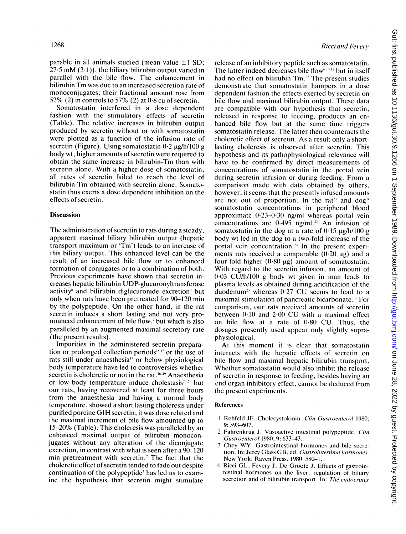parable in all animals studied (mean value  $\pm 1$  SD;  $27.5$  mM  $(2.1)$ , the biliary bilirubin output varied in parallel with the bile flow. The enhancement in bilirubin Tm was due to an increased secretion rate of monoconjugates; their fractional amount rose from 52% (2) in controls to 57% (2) at  $0.8$  cu of secretin.

Somatostatin interfered in a dose dependent fashion with the stimulatory effects of secretin (Table). The relative increases in bilirubin output produced by secretin without or with somatostatin were plotted as a function of the infusion rate of secretin (Figure). Using somatostatin  $0.2 \text{ kg/h}/100 \text{ g}$ body wt, higher amounts of secretin were required to obtain the same increase in bilirubin-Tm than with secretin alone. With a higher dose of somatostatin, all rates of secretin failed to reach the level of bilirubin-Tm obtained with secretin alone. Somatostatin thus exerts a dose dependent inhibition on the effects of secretin.

# **Discussion**

The administration of secretin to rats during a steady, apparent maximal biliary bilirubin output (hepatic transport maximum or 'Tm') leads to an increase of this biliary output. This enhanced level can be the result of an increased bile flow or to enhanced formation of conjugates or to a combination of both. Previous experiments have shown that secretin increases hepatic bilirubin UDP-glucuronyltransferase activity<sup>®</sup> and bilirubin diglucuronide excretion<sup>8</sup> but only when rats have been pretreated for 90-120 min by the polypeptide. On the other hand, in the rat secretin induces a short lasting and not very pronounced enhancement of bile flow,<sup>7</sup> but which is also paralleled by an augmented maximal secretory rate (the present results).

Impurities in the administered secretin preparation or prolonged collection periods<sup> $\mathbf{b}^{17}$ </sup> or the use of rats still under anaesthesia<sup>17</sup> or below physiological body temperature have led to controversies whether secretin is choleretic or not in the rat. "" Anaesthesia or low body temperature induce cholestasis $20.21$  but our rats, having recovered at least for three hours from the anaesthesia and having a normal body temperature, showed a short lasting choleresis under purified porcine GIH secretin; it was dose related and the maximal increment of bile flow amounted up to 15-20% (Table). This choleresis was paralleled by an enhanced maximal output of bilirubin monoconjugates without any alteration of the diconjugate excretion, in contrast with what is seen after a 90-120 min pretreatment with secretin.<sup>7</sup> The fact that the choleretic effect of secretin tended to fade out despite continuation of the polypeptide<sup>7</sup> has led us to examine the hypothesis that secretin might stimulate release of an inhibitory peptide such as somatostatin. The latter indeed decreases bile flow<sup>6 10</sup> 11 but in itself had no effect on bilirubin-Tm.<sup>22</sup> The present studies demonstrate that somatostatin hampers in a dose dependent fashion the effects exerted by secretin on bile flow and maximal bilirubin output. These data are compatible with our hypothesis that secretin, released in response to feeding, produces an enhanced bile flow but at the same time triggers somatostatin release. The latter then counteracts the choleretic effect of secretin. As a result only a shortlasting choleresis is observed after secretin. This hypothesis and its pathophysiological relevance will have to be confirmed by direct measurements of concentrations of somatostatin in the portal vein during secretin infusion or during feeding. From a comparison made with data obtained by others, however, it seems that the presently infused amounts are not out of proportion. In the rat<sup>23</sup> and dog<sup>24</sup> somatostatin concentrations in peripheral blood approximate  $0.23-0.30$  ng/ml whereas portal vein concentrations are  $0.495$  ng/ml.<sup>23</sup> An infusion of somatostatin in the dog at a rate of  $0.15 \mu g/h/100 g$ body wt led in the dog to a two-fold increase of the portal vein concentration.<sup>34</sup> In the present experiments rats received a comparable  $(0.20 \mu g)$  and a four-fold higher  $(0.80 \mu g)$  amount of somatostatin. With regard to the secretin infusion, an amount of 0-03 CU/h/100 g body wt given in man leads to plasma levels as obtained during acidification of the duodenum<sup>25</sup> whereas  $0.27$  CU seems to lead to a maximal stimulation of pancreatic bicarbonate." For comparison, our rats received amounts of secretin between  $0.10$  and  $2.00$  CU with a maximal effect on bile flow at a rate of  $0.80$  CU. Thus, the dosages presently used appear only slightly supraphysiological.

At this moment it is clear that somatostatin interacts with the hepatic effects of secretin on bile flow and maximal hepatic bilirubin transport. Whether somatostatin would also inhibit the release of secretin in response to feeding, besides having an end organ inhibitory effect, cannot be deduced from the present experiments.

# References

- 1 Rehfeld JF. Cholecystokinin. Clin Gastroenterol 1980; 9: 593-6)7.
- 2 Fahrcnkrug J. Vasoactivc intestinal polypcptidc. Clin Gastroenterol 1980; 9: 633-43.
- <sup>3</sup> Chey WY. Gastrointestinal hormoncs and bilc secrction. In: Jercy Glass GB, ed. Gastrointestinal hormones. Ncw York: Raven Prcss. 1980: 580-1.
- 4 Ricci GL. Fevcry J. Dc Grootc J. Effccts of gastrointestinal hormoncs on thc livcr: regulation of biliary secretion and of bilirubin transport. In: The endocrines